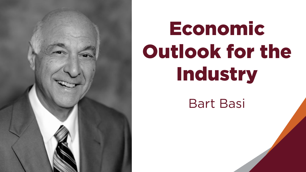

# Economic Outlook for the Industry

Bart Basi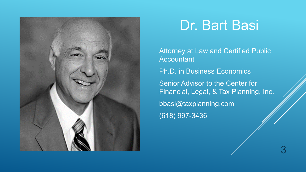

### Dr. Bart Basi

Attorney at Law and Certified Public Accountant Ph.D. in Business Economics Senior Advisor to the Center for Financial, Legal, & Tax Planning, Inc. [bbasi@taxplanning.com](mailto:bbasi@taxplanning.com) (618) 997-3436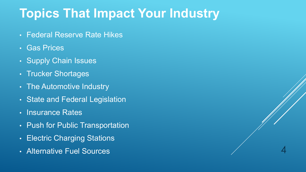### **Topics That Impact Your Industry**

- Federal Reserve Rate Hikes
- Gas Prices
- Supply Chain Issues
- Trucker Shortages
- The Automotive Industry
- State and Federal Legislation
- Insurance Rates
- Push for Public Transportation
- Electric Charging Stations
- Alternative Fuel Sources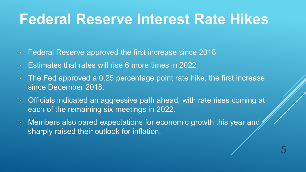# **Federal Reserve Interest Rate Hikes**

- Federal Reserve approved the first increase since 2018
- Estimates that rates will rise 6 more times in 2022
- The Fed approved a 0.25 percentage point rate hike, the first increase since December 2018.
- Officials indicated an aggressive path ahead, with rate rises coming at each of the remaining six meetings in 2022.
- Members also pared expectations for economic growth this year and sharply raised their outlook for inflation.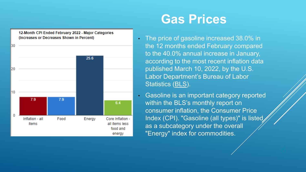

#### **Gas Prices**

- The price of gasoline increased 38.0% in the 12 months ended February compared to the 40.0% annual increase in January, according to the most recent inflation data published March 10, 2022, by the U.S. Labor Department's Bureau of Labor Statistics [\(BLS\)](https://www.bls.gov/cpi/).
	- Gasoline is an important category reported within the BLS's monthly report on consumer inflation, the Consumer Price Index (CPI). "Gasoline (all types)" is listed as a subcategory under the overall "Energy" index for commodities.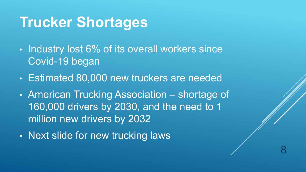# **Trucker Shortages**

- Industry lost 6% of its overall workers since Covid-19 began
- Estimated 80,000 new truckers are needed
- American Trucking Association shortage of 160,000 drivers by 2030, and the need to 1 million new drivers by 2032

8

• Next slide for new trucking laws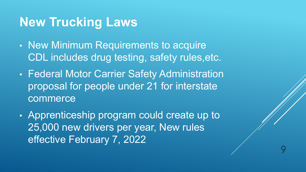#### **New Trucking Laws**

- New Minimum Requirements to acquire CDL includes drug testing, safety rules,etc.
- Federal Motor Carrier Safety Administration proposal for people under 21 for interstate commerce
- Apprenticeship program could create up to 25,000 new drivers per year, New rules effective February 7, 2022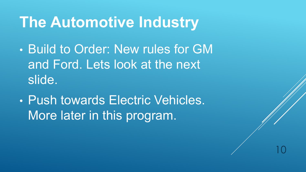# **The Automotive Industry**

- Build to Order: New rules for GM and Ford. Lets look at the next slide.
- Push towards Electric Vehicles. More later in this program.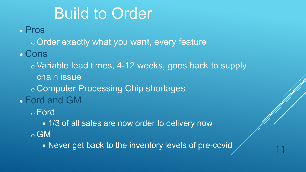# Build to Order

• Pros

o Order exactly what you want, every feature

• Cons

o Variable lead times, 4-12 weeks, goes back to supply chain issue

o Computer Processing Chip shortages

• Ford and GM

o Ford

1/3 of all sales are now order to delivery now

o GM

- Never get back to the inventory levels of pre-covid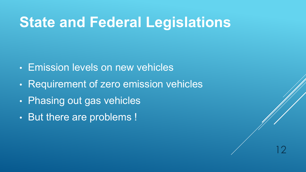# **State and Federal Legislations**

- Emission levels on new vehicles
- Requirement of zero emission vehicles
- Phasing out gas vehicles
- But there are problems !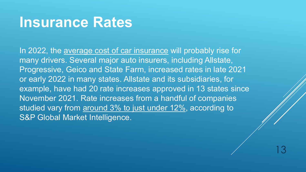### **Insurance Rates**

In 2022, the [average cost of car insurance](https://www.bankrate.com/insurance/car/average-cost-of-car-insurance/) will probably rise for many drivers. Several major auto insurers, including Allstate, Progressive, Geico and State Farm, increased rates in late 2021 or early 2022 in many states. Allstate and its subsidiaries, for example, have had 20 rate increases approved in 13 states since November 2021. Rate increases from a handful of companies studied vary from [around 3% to just under 12%](https://www.spglobal.com/marketintelligence/en/news-insights/latest-news-headlines/progressive-allstate-hike-private-auto-rates-in-november-2021-68318129), according to S&P Global Market Intelligence.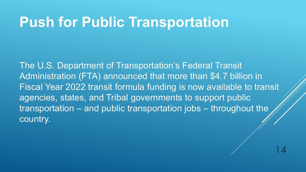### **Push for Public Transportation**

The U.S. Department of Transportation's Federal Transit Administration (FTA) announced that more than \$4.7 billion in Fiscal Year 2022 transit formula funding is now available to transit agencies, states, and Tribal governments to support public transportation – and public transportation jobs – throughout the country.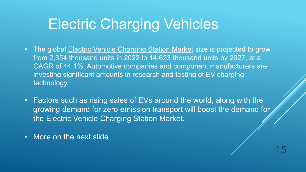# Electric Charging Vehicles

- The global **[Electric Vehicle Charging Station Market](https://www.marketsandmarkets.com/Market-Reports/electric-vehicle-supply-equipment-market-89574213.html)** size is projected to grow from 2,354 thousand units in 2022 to 14,623 thousand units by 2027, at a CAGR of 44.1%. Automotive companies and component manufacturers are investing significant amounts in research and testing of EV charging technology.
- Factors such as rising sales of EVs around the world, along with the growing demand for zero emission transport will boost the demand for the Electric Vehicle Charging Station Market.

15

• More on the next slide.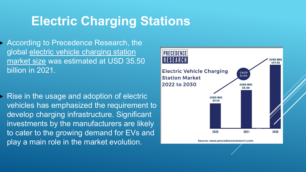### **Electric Charging Stations**

 According to Precedence Research, the global [electric vehicle charging station](https://www.globenewswire.com/Tracker?data=9kouKr9FiaTbX3nHKzYH2wTaMv2EwCufsVJLKZ0UiAnjsO3hX6zVMYCDDmxjKFXn6ZKtvuduu1F9hdv_iHvMaC_0lunTOunSBllG2zvdluSvDZSIExOe5uMjRcauqq55SOMPKhKGOVSczSLvoDcIf_7CY1FJ3_VYHsh0FlGMKEFCTYGYvhHlQ2qKIOtA2ZQR)  market size was estimated at USD 35.50 billion in 2021.

 Rise in the usage and adoption of electric vehicles has emphasized the requirement to develop charging infrastructure. Significant investments by the manufacturers are likely to cater to the growing demand for EVs and play a main role in the market evolution.

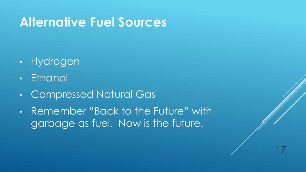### **Alternative Fuel Sources**

- Hydrogen
- Ethanol
- Compressed Natural Gas
- Remember "Back to the Future" with garbage as fuel. Now is the future.